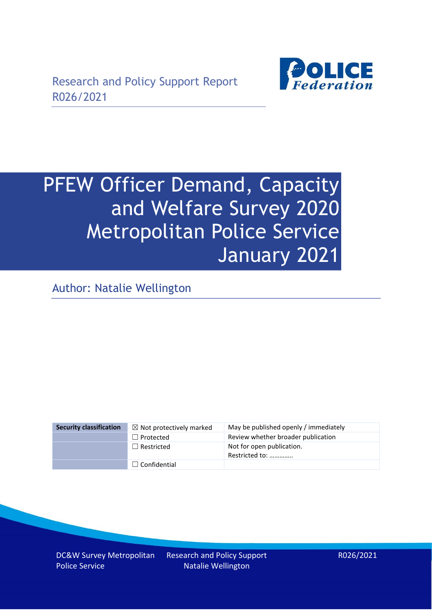

# PFEW Officer Demand, Capacity and Welfare Survey 2020 Metropolitan Police Service January 2021

Author: Natalie Wellington

| <b>Security classification</b> | $\boxtimes$ Not protectively marked | May be published openly / immediately       |
|--------------------------------|-------------------------------------|---------------------------------------------|
|                                | $\Box$ Protected                    | Review whether broader publication          |
|                                | $\Box$ Restricted                   | Not for open publication.<br>Restricted to: |
|                                | $\Box$ Confidential                 |                                             |

DC&W Survey Metropolitan Police Service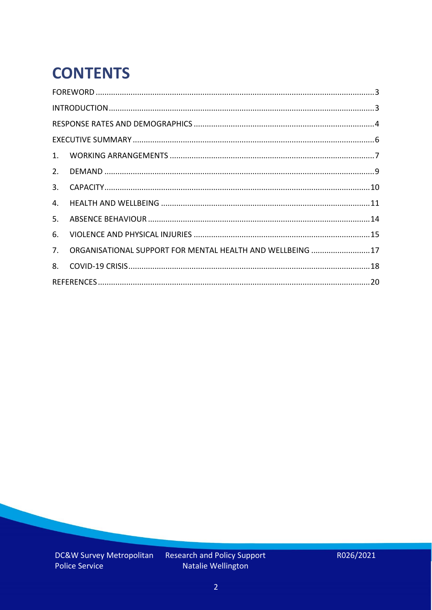# **CONTENTS**

| 2.          |                                                            |  |
|-------------|------------------------------------------------------------|--|
| 3.          |                                                            |  |
| 4.          |                                                            |  |
| 5.          |                                                            |  |
| 6.          |                                                            |  |
| $7_{\cdot}$ | ORGANISATIONAL SUPPORT FOR MENTAL HEALTH AND WELLBEING  17 |  |
| 8.          |                                                            |  |
|             |                                                            |  |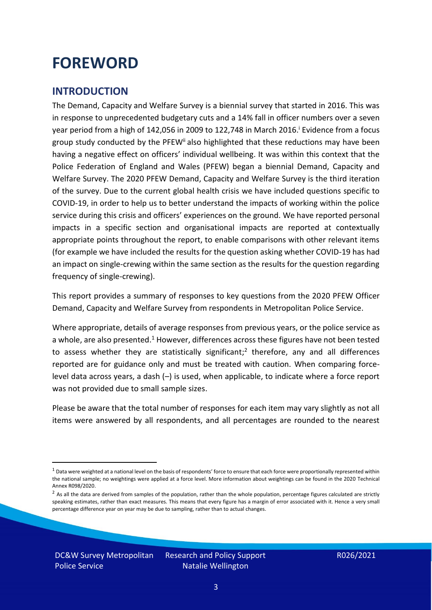### <span id="page-2-0"></span>**FOREWORD**

#### <span id="page-2-1"></span>**INTRODUCTION**

The Demand, Capacity and Welfare Survey is a biennial survey that started in 2016. This was in response to unprecedented budgetary cuts and a 14% fall in officer numbers over a seven year period from a high of 142,056 in 2009 to 122,748 in March 2016. <sup>i</sup> Evidence from a focus group study conducted by the PFEW<sup>ii</sup> also highlighted that these reductions may have been having a negative effect on officers' individual wellbeing. It was within this context that the Police Federation of England and Wales (PFEW) began a biennial Demand, Capacity and Welfare Survey. The 2020 PFEW Demand, Capacity and Welfare Survey is the third iteration of the survey. Due to the current global health crisis we have included questions specific to COVID-19, in order to help us to better understand the impacts of working within the police service during this crisis and officers' experiences on the ground. We have reported personal impacts in a specific section and organisational impacts are reported at contextually appropriate points throughout the report, to enable comparisons with other relevant items (for example we have included the results for the question asking whether COVID-19 has had an impact on single-crewing within the same section as the results for the question regarding frequency of single-crewing).

This report provides a summary of responses to key questions from the 2020 PFEW Officer Demand, Capacity and Welfare Survey from respondents in Metropolitan Police Service.

Where appropriate, details of average responses from previous years, or the police service as a whole, are also presented.<sup>1</sup> However, differences across these figures have not been tested to assess whether they are statistically significant;<sup>2</sup> therefore, any and all differences reported are for guidance only and must be treated with caution. When comparing forcelevel data across years, a dash (–) is used, when applicable, to indicate where a force report was not provided due to small sample sizes.

Please be aware that the total number of responses for each item may vary slightly as not all items were answered by all respondents, and all percentages are rounded to the nearest

DC&W Survey Metropolitan Police Service

 $1$  Data were weighted at a national level on the basis of respondents' force to ensure that each force were proportionally represented within the national sample; no weightings were applied at a force level. More information about weightings can be found in the 2020 Technical Annex R098/2020.

 $2$  As all the data are derived from samples of the population, rather than the whole population, percentage figures calculated are strictly speaking estimates, rather than exact measures. This means that every figure has a margin of error associated with it. Hence a very small percentage difference year on year may be due to sampling, rather than to actual changes.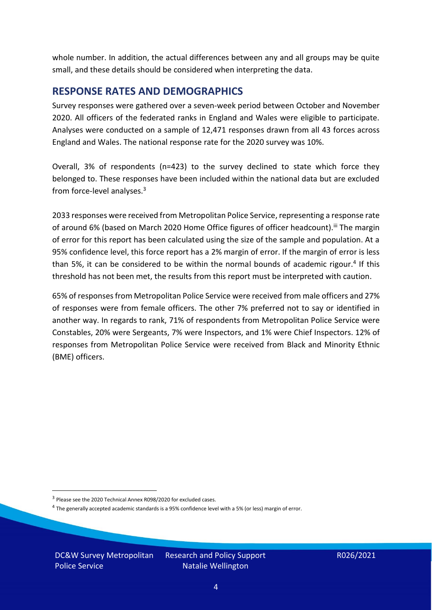whole number. In addition, the actual differences between any and all groups may be quite small, and these details should be considered when interpreting the data.

#### <span id="page-3-0"></span>**RESPONSE RATES AND DEMOGRAPHICS**

Survey responses were gathered over a seven-week period between October and November 2020. All officers of the federated ranks in England and Wales were eligible to participate. Analyses were conducted on a sample of 12,471 responses drawn from all 43 forces across England and Wales. The national response rate for the 2020 survey was 10%.

Overall, 3% of respondents (n=423) to the survey declined to state which force they belonged to. These responses have been included within the national data but are excluded from force-level analyses.<sup>3</sup>

2033 responses were received from Metropolitan Police Service, representing a response rate of around 6% (based on March 2020 Home Office figures of officer headcount).<sup>iii</sup> The margin of error for this report has been calculated using the size of the sample and population. At a 95% confidence level, this force report has a 2% margin of error. If the margin of error is less than 5%, it can be considered to be within the normal bounds of academic rigour.<sup>4</sup> If this threshold has not been met, the results from this report must be interpreted with caution.

65% of responses from Metropolitan Police Service were received from male officers and 27% of responses were from female officers. The other 7% preferred not to say or identified in another way. In regards to rank, 71% of respondents from Metropolitan Police Service were Constables, 20% were Sergeants, 7% were Inspectors, and 1% were Chief Inspectors. 12% of responses from Metropolitan Police Service were received from Black and Minority Ethnic (BME) officers.

DC&W Survey Metropolitan Police Service

<sup>&</sup>lt;sup>3</sup> Please see the 2020 Technical Annex R098/2020 for excluded cases.

<sup>&</sup>lt;sup>4</sup> The generally accepted academic standards is a 95% confidence level with a 5% (or less) margin of error.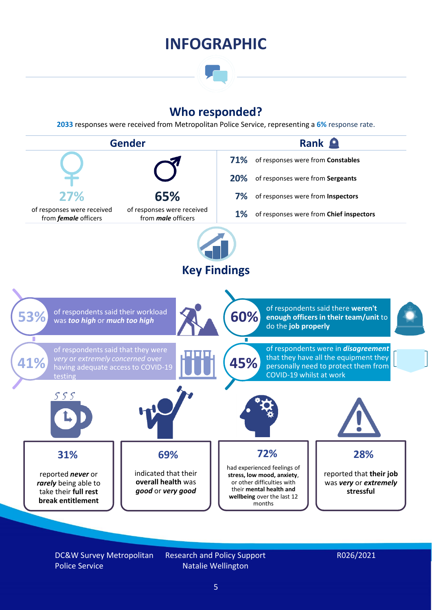### **INFOGRAPHIC**

### **Who responded?**

**2033** responses were received from Metropolitan Police Service, representing a **6%** response rate.



DC&W Survey Metropolitan Police Service

Research and Policy Support Natalie Wellington

#### R026/2021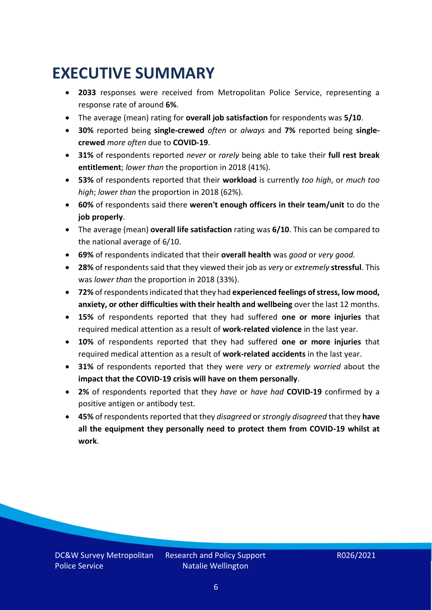### <span id="page-5-0"></span>**EXECUTIVE SUMMARY**

- **2033** responses were received from Metropolitan Police Service, representing a response rate of around **6%**.
- The average (mean) rating for **overall job satisfaction** for respondents was **5/10**.
- **30%** reported being **single-crewed** *often* or *always* and **7%** reported being **singlecrewed** *more often* due to **COVID-19**.
- **31%** of respondents reported *never* or *rarely* being able to take their **full rest break entitlement**; *lower than* the proportion in 2018 (41%).
- **53%** of respondents reported that their **workload** is currently *too high*, or *much too high*; *lower than* the proportion in 2018 (62%).
- **60%** of respondents said there **weren't enough officers in their team/unit** to do the **job properly**.
- The average (mean) **overall life satisfaction** rating was **6/10**. This can be compared to the national average of 6/10.
- **69%** of respondents indicated that their **overall health** was *good* or *very good.*
- **28%** of respondents said that they viewed their job as *very* or *extremely* **stressful**. This was *lower than* the proportion in 2018 (33%).
- **72%** of respondents indicated that they had **experienced feelings of stress, low mood, anxiety, or other difficulties with their health and wellbeing** over the last 12 months.
- **15%** of respondents reported that they had suffered **one or more injuries** that required medical attention as a result of **work-related violence** in the last year.
- **10%** of respondents reported that they had suffered **one or more injuries** that required medical attention as a result of **work-related accidents** in the last year.
- **31%** of respondents reported that they were *very* or *extremely worried* about the **impact that the COVID-19 crisis will have on them personally**.
- **2%** of respondents reported that they *have* or *have had* **COVID-19** confirmed by a positive antigen or antibody test.
- **45%** of respondents reported that they *disagreed* or *strongly disagreed* that they **have all the equipment they personally need to protect them from COVID-19 whilst at work**.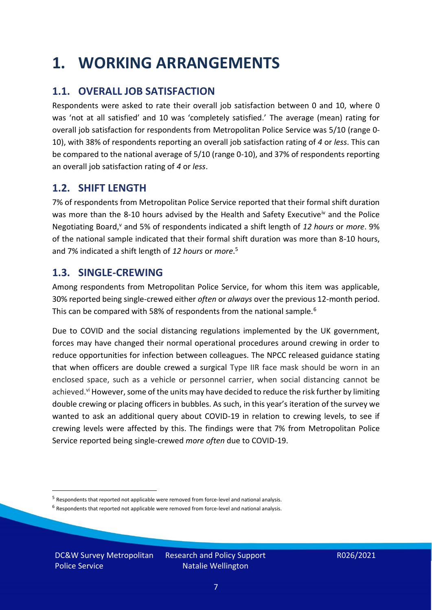### <span id="page-6-0"></span>**1. WORKING ARRANGEMENTS**

### **1.1. OVERALL JOB SATISFACTION**

Respondents were asked to rate their overall job satisfaction between 0 and 10, where 0 was 'not at all satisfied' and 10 was 'completely satisfied.' The average (mean) rating for overall job satisfaction for respondents from Metropolitan Police Service was 5/10 (range 0- 10), with 38% of respondents reporting an overall job satisfaction rating of *4* or *less*. This can be compared to the national average of 5/10 (range 0-10), and 37% of respondents reporting an overall job satisfaction rating of *4* or *less*.

### **1.2. SHIFT LENGTH**

7% of respondents from Metropolitan Police Service reported that their formal shift duration was more than the 8-10 hours advised by the Health and Safety Executive<sup>iv</sup> and the Police Negotiating Board,<sup>v</sup> and 5% of respondents indicated a shift length of *12 hours* or *more*. 9% of the national sample indicated that their formal shift duration was more than 8-10 hours, and 7% indicated a shift length of *12 hours* or *more*. 5

#### **1.3. SINGLE-CREWING**

Among respondents from Metropolitan Police Service, for whom this item was applicable, 30% reported being single-crewed either *often* or *always* over the previous 12-month period. This can be compared with 58% of respondents from the national sample.<sup>6</sup>

Due to COVID and the social distancing regulations implemented by the UK government, forces may have changed their normal operational procedures around crewing in order to reduce opportunities for infection between colleagues. The NPCC released guidance stating that when officers are double crewed a surgical Type IIR face mask should be worn in an enclosed space, such as a vehicle or personnel carrier, when social distancing cannot be achieved.<sup>vi</sup> However, some of the units may have decided to reduce the risk further by limiting double crewing or placing officers in bubbles. As such, in this year's iteration of the survey we wanted to ask an additional query about COVID-19 in relation to crewing levels, to see if crewing levels were affected by this. The findings were that 7% from Metropolitan Police Service reported being single-crewed *more often* due to COVID-19.

 $<sup>6</sup>$  Respondents that reported not applicable were removed from force-level and national analysis.</sup>

DC&W Survey Metropolitan Police Service

<sup>&</sup>lt;sup>5</sup> Respondents that reported not applicable were removed from force-level and national analysis.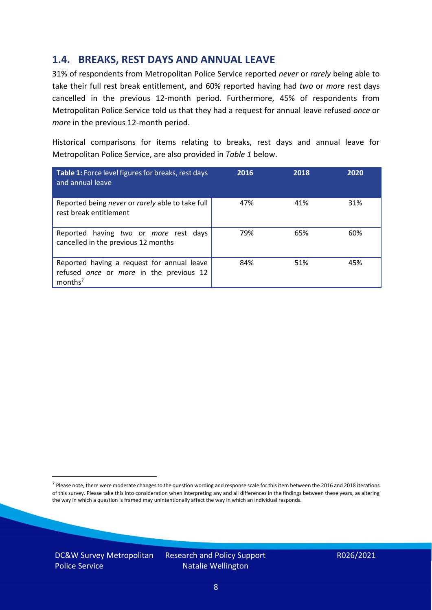#### **1.4. BREAKS, REST DAYS AND ANNUAL LEAVE**

31% of respondents from Metropolitan Police Service reported *never* or *rarely* being able to take their full rest break entitlement, and 60% reported having had *two* or *more* rest days cancelled in the previous 12-month period. Furthermore, 45% of respondents from Metropolitan Police Service told us that they had a request for annual leave refused *once* or *more* in the previous 12-month period.

Historical comparisons for items relating to breaks, rest days and annual leave for Metropolitan Police Service, are also provided in *Table 1* below.

| Table 1: Force level figures for breaks, rest days<br>and annual leave                                       | 2016 | 2018 | 2020 |
|--------------------------------------------------------------------------------------------------------------|------|------|------|
| Reported being never or rarely able to take full<br>rest break entitlement                                   | 47%  | 41%  | 31%  |
| Reported having two or more rest days<br>cancelled in the previous 12 months                                 | 79%  | 65%  | 60%  |
| Reported having a request for annual leave<br>refused once or more in the previous 12<br>months <sup>7</sup> | 84%  | 51%  | 45%  |

DC&W Survey Metropolitan Police Service

<sup>&</sup>lt;sup>7</sup> Please note, there were moderate changes to the question wording and response scale for this item between the 2016 and 2018 iterations of this survey. Please take this into consideration when interpreting any and all differences in the findings between these years, as altering the way in which a question is framed may unintentionally affect the way in which an individual responds.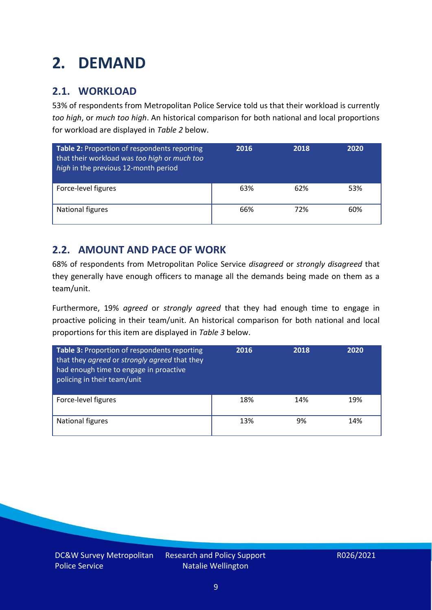# <span id="page-8-0"></span>**2. DEMAND**

### **2.1. WORKLOAD**

53% of respondents from Metropolitan Police Service told us that their workload is currently *too high*, or *much too high*. An historical comparison for both national and local proportions for workload are displayed in *Table 2* below.

| Table 2: Proportion of respondents reporting<br>that their workload was too high or much too<br>high in the previous 12-month period | 2016 | 2018 | 2020 |
|--------------------------------------------------------------------------------------------------------------------------------------|------|------|------|
| Force-level figures                                                                                                                  | 63%  | 62%  | 53%  |
| National figures                                                                                                                     | 66%  | 72%  | 60%  |

### **2.2. AMOUNT AND PACE OF WORK**

68% of respondents from Metropolitan Police Service *disagreed* or *strongly disagreed* that they generally have enough officers to manage all the demands being made on them as a team/unit.

Furthermore, 19% *agreed* or *strongly agreed* that they had enough time to engage in proactive policing in their team/unit. An historical comparison for both national and local proportions for this item are displayed in *Table 3* below.

| Table 3: Proportion of respondents reporting<br>that they agreed or strongly agreed that they<br>had enough time to engage in proactive<br>policing in their team/unit | 2016 | 2018 | 2020 |
|------------------------------------------------------------------------------------------------------------------------------------------------------------------------|------|------|------|
| Force-level figures                                                                                                                                                    | 18%  | 14%  | 19%  |
| National figures                                                                                                                                                       | 13%  | 9%   | 14%  |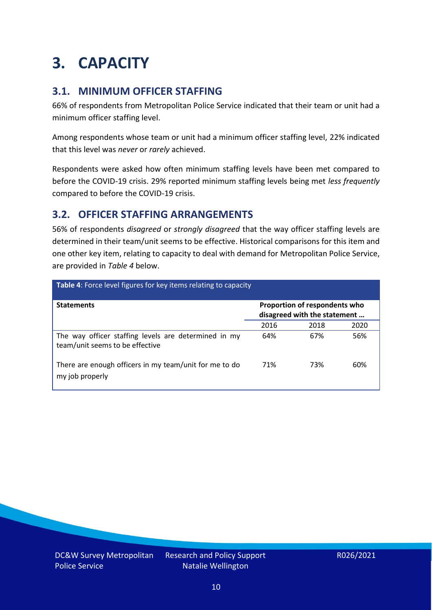### <span id="page-9-0"></span>**3. CAPACITY**

### **3.1. MINIMUM OFFICER STAFFING**

66% of respondents from Metropolitan Police Service indicated that their team or unit had a minimum officer staffing level.

Among respondents whose team or unit had a minimum officer staffing level, 22% indicated that this level was *never* or *rarely* achieved.

Respondents were asked how often minimum staffing levels have been met compared to before the COVID-19 crisis. 29% reported minimum staffing levels being met *less frequently* compared to before the COVID-19 crisis.

### **3.2. OFFICER STAFFING ARRANGEMENTS**

56% of respondents *disagreed* or *strongly disagreed* that the way officer staffing levels are determined in their team/unit seems to be effective. Historical comparisons for this item and one other key item, relating to capacity to deal with demand for Metropolitan Police Service, are provided in *Table 4* below.

| <b>Table 4:</b> Force level figures for key items relating to capacity                  |                                                               |      |      |  |
|-----------------------------------------------------------------------------------------|---------------------------------------------------------------|------|------|--|
| <b>Statements</b>                                                                       | Proportion of respondents who<br>disagreed with the statement |      |      |  |
|                                                                                         | 2016                                                          | 2018 | 2020 |  |
| The way officer staffing levels are determined in my<br>team/unit seems to be effective | 64%                                                           | 67%  | 56%  |  |
| There are enough officers in my team/unit for me to do<br>my job properly               | 71%                                                           | 73%  | 60%  |  |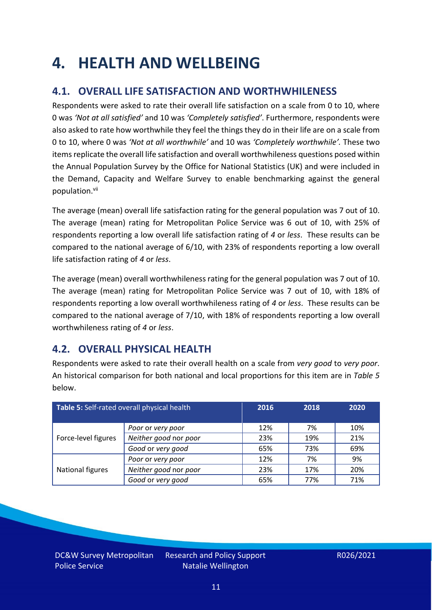### <span id="page-10-0"></span>**4. HEALTH AND WELLBEING**

### **4.1. OVERALL LIFE SATISFACTION AND WORTHWHILENESS**

Respondents were asked to rate their overall life satisfaction on a scale from 0 to 10, where 0 was *'Not at all satisfied'* and 10 was *'Completely satisfied'*. Furthermore, respondents were also asked to rate how worthwhile they feel the things they do in their life are on a scale from 0 to 10, where 0 was *'Not at all worthwhile'* and 10 was *'Completely worthwhile'.* These two items replicate the overall life satisfaction and overall worthwhileness questions posed within the Annual Population Survey by the Office for National Statistics (UK) and were included in the Demand, Capacity and Welfare Survey to enable benchmarking against the general population. vii

The average (mean) overall life satisfaction rating for the general population was 7 out of 10. The average (mean) rating for Metropolitan Police Service was 6 out of 10, with 25% of respondents reporting a low overall life satisfaction rating of *4* or *less*. These results can be compared to the national average of 6/10, with 23% of respondents reporting a low overall life satisfaction rating of *4* or *less*.

The average (mean) overall worthwhileness rating for the general population was 7 out of 10. The average (mean) rating for Metropolitan Police Service was 7 out of 10, with 18% of respondents reporting a low overall worthwhileness rating of *4* or *less*. These results can be compared to the national average of 7/10, with 18% of respondents reporting a low overall worthwhileness rating of *4* or *less*.

### **4.2. OVERALL PHYSICAL HEALTH**

Respondents were asked to rate their overall health on a scale from *very good* to *very poor*. An historical comparison for both national and local proportions for this item are in *Table 5* below.

| Table 5: Self-rated overall physical health |                       | 2016 | 2018 | 2020 |
|---------------------------------------------|-----------------------|------|------|------|
|                                             | Poor or very poor     | 12%  | 7%   | 10%  |
| Force-level figures                         | Neither good nor poor | 23%  | 19%  | 21%  |
|                                             | Good or very good     | 65%  | 73%  | 69%  |
|                                             | Poor or very poor     | 12%  | 7%   | 9%   |
| National figures                            | Neither good nor poor | 23%  | 17%  | 20%  |
|                                             | Good or very good     | 65%  | 77%  | 71%  |

DC&W Survey Metropolitan Police Service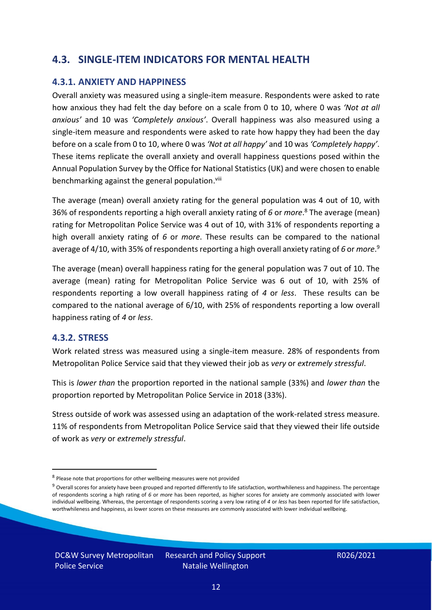### **4.3. SINGLE-ITEM INDICATORS FOR MENTAL HEALTH**

#### **4.3.1. ANXIETY AND HAPPINESS**

Overall anxiety was measured using a single-item measure. Respondents were asked to rate how anxious they had felt the day before on a scale from 0 to 10, where 0 was *'Not at all anxious'* and 10 was *'Completely anxious'*. Overall happiness was also measured using a single-item measure and respondents were asked to rate how happy they had been the day before on a scale from 0 to 10, where 0 was *'Not at all happy'* and 10 was *'Completely happy'*. These items replicate the overall anxiety and overall happiness questions posed within the Annual Population Survey by the Office for National Statistics (UK) and were chosen to enable benchmarking against the general population.<sup>viii</sup>

The average (mean) overall anxiety rating for the general population was 4 out of 10, with 36% of respondents reporting a high overall anxiety rating of *6* or *more*. <sup>8</sup> The average (mean) rating for Metropolitan Police Service was 4 out of 10, with 31% of respondents reporting a high overall anxiety rating of *6* or *more*. These results can be compared to the national average of 4/10, with 35% of respondents reporting a high overall anxiety rating of 6 or *more*.<sup>9</sup>

The average (mean) overall happiness rating for the general population was 7 out of 10. The average (mean) rating for Metropolitan Police Service was 6 out of 10, with 25% of respondents reporting a low overall happiness rating of *4* or *less*. These results can be compared to the national average of 6/10, with 25% of respondents reporting a low overall happiness rating of *4* or *less*.

#### **4.3.2. STRESS**

Work related stress was measured using a single-item measure. 28% of respondents from Metropolitan Police Service said that they viewed their job as *very* or *extremely stressful*.

This is *lower than* the proportion reported in the national sample (33%) and *lower than* the proportion reported by Metropolitan Police Service in 2018 (33%).

Stress outside of work was assessed using an adaptation of the work-related stress measure. 11% of respondents from Metropolitan Police Service said that they viewed their life outside of work as *very* or *extremely stressful*.

<sup>&</sup>lt;sup>8</sup> Please note that proportions for other wellbeing measures were not provided

 $9$  Overall scores for anxiety have been grouped and reported differently to life satisfaction, worthwhileness and happiness. The percentage of respondents scoring a high rating of *6* or *more* has been reported, as higher scores for anxiety are commonly associated with lower individual wellbeing. Whereas, the percentage of respondents scoring a very low rating of *4* or *less* has been reported for life satisfaction, worthwhileness and happiness, as lower scores on these measures are commonly associated with lower individual wellbeing.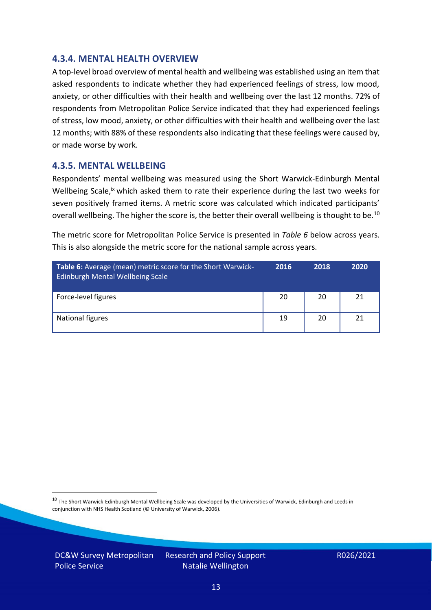#### **4.3.4. MENTAL HEALTH OVERVIEW**

A top-level broad overview of mental health and wellbeing was established using an item that asked respondents to indicate whether they had experienced feelings of stress, low mood, anxiety, or other difficulties with their health and wellbeing over the last 12 months. 72% of respondents from Metropolitan Police Service indicated that they had experienced feelings of stress, low mood, anxiety, or other difficulties with their health and wellbeing over the last 12 months; with 88% of these respondents also indicating that these feelings were caused by, or made worse by work.

#### **4.3.5. MENTAL WELLBEING**

Respondents' mental wellbeing was measured using the Short Warwick-Edinburgh Mental Wellbeing Scale,<sup>ix</sup> which asked them to rate their experience during the last two weeks for seven positively framed items. A metric score was calculated which indicated participants' overall wellbeing. The higher the score is, the better their overall wellbeing is thought to be.<sup>10</sup>

The metric score for Metropolitan Police Service is presented in *Table 6* below across years. This is also alongside the metric score for the national sample across years.

| <b>Table 6:</b> Average (mean) metric score for the Short Warwick-<br>Edinburgh Mental Wellbeing Scale | 2016 | 2018 | 2020 |
|--------------------------------------------------------------------------------------------------------|------|------|------|
| Force-level figures                                                                                    | 20   | 20   | 21   |
| National figures                                                                                       | 19   | 20   | 21   |

 $10$  The Short Warwick-Edinburgh Mental Wellbeing Scale was developed by the Universities of Warwick, Edinburgh and Leeds in conjunction with NHS Health Scotland (© University of Warwick, 2006).

DC&W Survey Metropolitan Police Service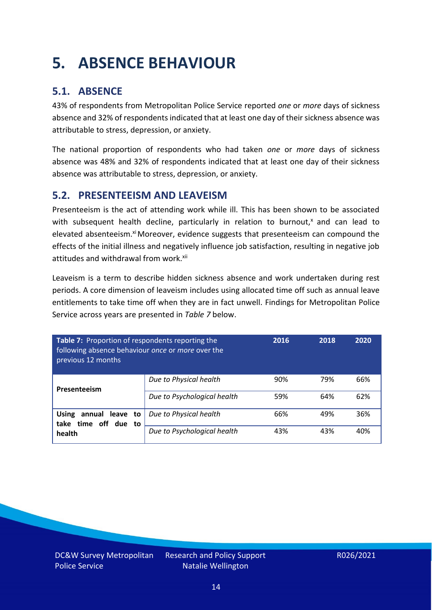# <span id="page-13-0"></span>**5. ABSENCE BEHAVIOUR**

### **5.1. ABSENCE**

43% of respondents from Metropolitan Police Service reported *one* or *more* days of sickness absence and 32% of respondents indicated that at least one day of their sickness absence was attributable to stress, depression, or anxiety.

The national proportion of respondents who had taken *one* or *more* days of sickness absence was 48% and 32% of respondents indicated that at least one day of their sickness absence was attributable to stress, depression, or anxiety.

### **5.2. PRESENTEEISM AND LEAVEISM**

Presenteeism is the act of attending work while ill. This has been shown to be associated with subsequent health decline, particularly in relation to burnout, $x$  and can lead to elevated absenteeism.<sup>xi</sup> Moreover, evidence suggests that presenteeism can compound the effects of the initial illness and negatively influence job satisfaction, resulting in negative job attitudes and withdrawal from work.<sup>xii</sup>

Leaveism is a term to describe hidden sickness absence and work undertaken during rest periods. A core dimension of leaveism includes using allocated time off such as annual leave entitlements to take time off when they are in fact unwell. Findings for Metropolitan Police Service across years are presented in *Table 7* below.

| Table 7: Proportion of respondents reporting the<br>following absence behaviour once or more over the<br>previous 12 months |                             | 2016 | 2018 | 2020 |
|-----------------------------------------------------------------------------------------------------------------------------|-----------------------------|------|------|------|
| Presenteeism                                                                                                                | Due to Physical health      | 90%  | 79%  | 66%  |
|                                                                                                                             | Due to Psychological health | 59%  | 64%  | 62%  |
| <b>Using</b><br>annual leave to<br>time off due to<br>take<br>health                                                        | Due to Physical health      | 66%  | 49%  | 36%  |
|                                                                                                                             | Due to Psychological health | 43%  | 43%  | 40%  |

DC&W Survey Metropolitan Police Service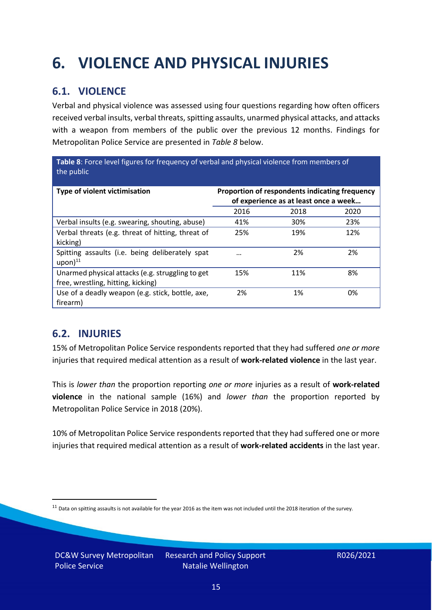# <span id="page-14-0"></span>**6. VIOLENCE AND PHYSICAL INJURIES**

### **6.1. VIOLENCE**

Verbal and physical violence was assessed using four questions regarding how often officers received verbal insults, verbal threats, spitting assaults, unarmed physical attacks, and attacks with a weapon from members of the public over the previous 12 months. Findings for Metropolitan Police Service are presented in *Table 8* below.

**Table 8**: Force level figures for frequency of verbal and physical violence from members of the public

| Type of violent victimisation                                                          | Proportion of respondents indicating frequency<br>of experience as at least once a week |      |      |
|----------------------------------------------------------------------------------------|-----------------------------------------------------------------------------------------|------|------|
|                                                                                        | 2016                                                                                    | 2018 | 2020 |
| Verbal insults (e.g. swearing, shouting, abuse)                                        | 41%                                                                                     | 30%  | 23%  |
| Verbal threats (e.g. threat of hitting, threat of<br>kicking)                          | 25%                                                                                     | 19%  | 12%  |
| Spitting assaults (i.e. being deliberately spat<br>$upon)$ <sup>11</sup>               |                                                                                         | 2%   | 2%   |
| Unarmed physical attacks (e.g. struggling to get<br>free, wrestling, hitting, kicking) | 15%                                                                                     | 11%  | 8%   |
| Use of a deadly weapon (e.g. stick, bottle, axe,<br>firearm)                           | 2%                                                                                      | 1%   | 0%   |

### **6.2. INJURIES**

15% of Metropolitan Police Service respondents reported that they had suffered *one or more* injuries that required medical attention as a result of **work-related violence** in the last year.

This is *lower than* the proportion reporting *one or more* injuries as a result of **work-related violence** in the national sample (16%) and *lower than* the proportion reported by Metropolitan Police Service in 2018 (20%).

10% of Metropolitan Police Service respondents reported that they had suffered one or more injuries that required medical attention as a result of **work-related accidents** in the last year.

 $11$  Data on spitting assaults is not available for the year 2016 as the item was not included until the 2018 iteration of the survey.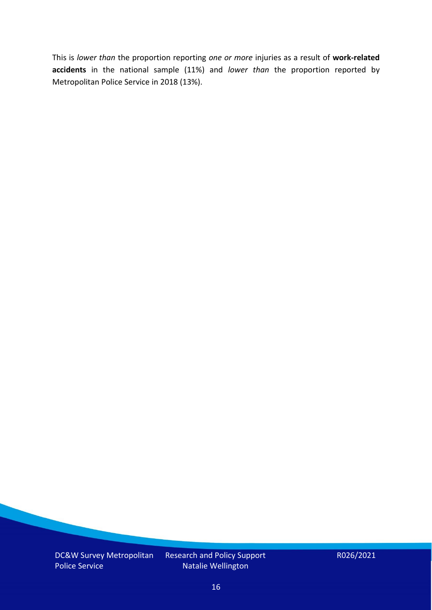This is *lower than* the proportion reporting *one or more* injuries as a result of **work-related accidents** in the national sample (11%) and *lower than* the proportion reported by Metropolitan Police Service in 2018 (13%).

DC&W Survey Metropolitan Police Service

Research and Policy Support Natalie Wellington

R026/2021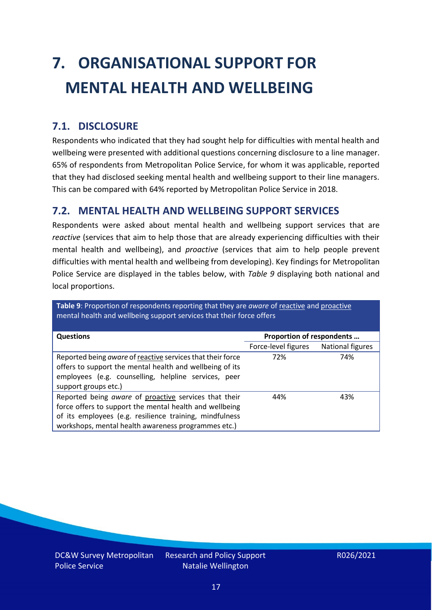# <span id="page-16-0"></span>**7. ORGANISATIONAL SUPPORT FOR MENTAL HEALTH AND WELLBEING**

### **7.1. DISCLOSURE**

Respondents who indicated that they had sought help for difficulties with mental health and wellbeing were presented with additional questions concerning disclosure to a line manager. 65% of respondents from Metropolitan Police Service, for whom it was applicable, reported that they had disclosed seeking mental health and wellbeing support to their line managers. This can be compared with 64% reported by Metropolitan Police Service in 2018.

#### **7.2. MENTAL HEALTH AND WELLBEING SUPPORT SERVICES**

Respondents were asked about mental health and wellbeing support services that are *reactive* (services that aim to help those that are already experiencing difficulties with their mental health and wellbeing), and *proactive* (services that aim to help people prevent difficulties with mental health and wellbeing from developing). Key findings for Metropolitan Police Service are displayed in the tables below, with *Table 9* displaying both national and local proportions.

**Table 9**: Proportion of respondents reporting that they are *aware* of reactive and proactive mental health and wellbeing support services that their force offers

| <b>Questions</b>                                                                                                                                                                                                                   | Proportion of respondents |                  |
|------------------------------------------------------------------------------------------------------------------------------------------------------------------------------------------------------------------------------------|---------------------------|------------------|
|                                                                                                                                                                                                                                    | Force-level figures       | National figures |
| Reported being aware of reactive services that their force<br>offers to support the mental health and wellbeing of its<br>employees (e.g. counselling, helpline services, peer<br>support groups etc.)                             | 72%                       | 74%              |
| Reported being aware of proactive services that their<br>force offers to support the mental health and wellbeing<br>of its employees (e.g. resilience training, mindfulness<br>workshops, mental health awareness programmes etc.) | 44%                       | 43%              |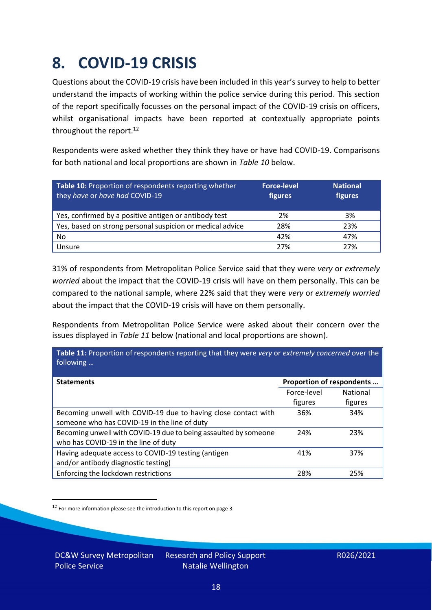### <span id="page-17-0"></span>**8. COVID-19 CRISIS**

Questions about the COVID-19 crisis have been included in this year's survey to help to better understand the impacts of working within the police service during this period. This section of the report specifically focusses on the personal impact of the COVID-19 crisis on officers, whilst organisational impacts have been reported at contextually appropriate points throughout the report.<sup>12</sup>

Respondents were asked whether they think they have or have had COVID-19. Comparisons for both national and local proportions are shown in *Table 10* below.

| Table 10: Proportion of respondents reporting whether<br>they have or have had COVID-19 | <b>Force-level</b><br>figures | <b>National</b><br>figures |
|-----------------------------------------------------------------------------------------|-------------------------------|----------------------------|
| Yes, confirmed by a positive antigen or antibody test                                   | 2%                            | 3%                         |
| Yes, based on strong personal suspicion or medical advice                               | 28%                           | 23%                        |
| No                                                                                      | 42%                           | 47%                        |
| Unsure                                                                                  | 27%                           | 27%                        |

31% of respondents from Metropolitan Police Service said that they were *very* or *extremely worried* about the impact that the COVID-19 crisis will have on them personally. This can be compared to the national sample, where 22% said that they were *very* or *extremely worried* about the impact that the COVID-19 crisis will have on them personally.

Respondents from Metropolitan Police Service were asked about their concern over the issues displayed in *Table 11* below (national and local proportions are shown).

| Table 11: Proportion of respondents reporting that they were very or extremely concerned over the<br>following |                           |                 |
|----------------------------------------------------------------------------------------------------------------|---------------------------|-----------------|
| <b>Statements</b>                                                                                              | Proportion of respondents |                 |
|                                                                                                                | Force-level               | <b>National</b> |
|                                                                                                                | figures                   | figures         |
| Becoming unwell with COVID-19 due to having close contact with                                                 | 36%                       | 34%             |
| someone who has COVID-19 in the line of duty                                                                   |                           |                 |
| Becoming unwell with COVID-19 due to being assaulted by someone                                                | 24%                       | 23%             |
| who has COVID-19 in the line of duty                                                                           |                           |                 |
| Having adequate access to COVID-19 testing (antigen                                                            | 41%                       | 37%             |
| and/or antibody diagnostic testing)                                                                            |                           |                 |
| Enforcing the lockdown restrictions                                                                            | 28%                       | 25%             |

<sup>12</sup> For more information please see the introduction to this report on page 3.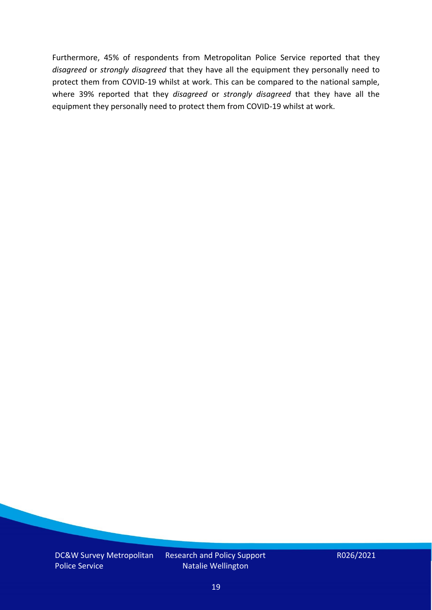Furthermore, 45% of respondents from Metropolitan Police Service reported that they *disagreed* or *strongly disagreed* that they have all the equipment they personally need to protect them from COVID-19 whilst at work. This can be compared to the national sample, where 39% reported that they *disagreed* or *strongly disagreed* that they have all the equipment they personally need to protect them from COVID-19 whilst at work.

DC&W Survey Metropolitan Police Service

Research and Policy Support Natalie Wellington

R026/2021